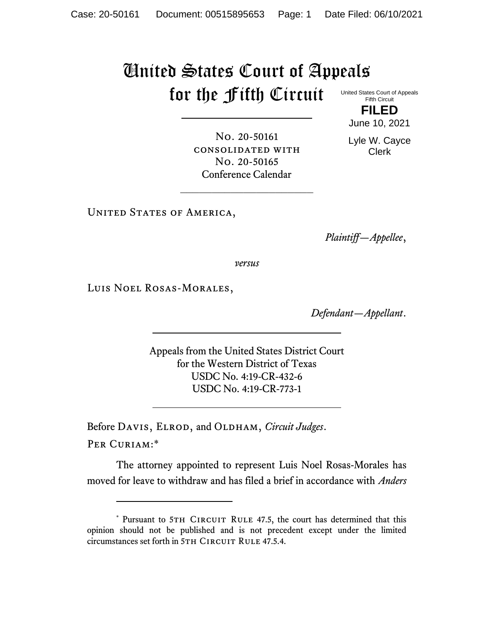## United States Court of Appeals for the Fifth Circuit

No. 20-50161 consolidated with No. 20-50165 Conference Calendar

United States Court of Appeals Fifth Circuit **FILED**

June 10, 2021

Lyle W. Cayce Clerk

UNITED STATES OF AMERICA,

*Plaintiff—Appellee*,

*versus*

Luis Noel Rosas-Morales,

*Defendant—Appellant*.

Appeals from the United States District Court for the Western District of Texas USDC No. 4:19-CR-432-6 USDC No. 4:19-CR-773-1

Before DAVIS, ELROD, and OLDHAM, *Circuit Judges*.

Per Curiam:\*

The attorney appointed to represent Luis Noel Rosas-Morales has moved for leave to withdraw and has filed a brief in accordance with *Anders* 

<sup>\*</sup> Pursuant to 5TH CIRCUIT RULE 47.5, the court has determined that this opinion should not be published and is not precedent except under the limited circumstances set forth in 5TH CIRCUIT RULE 47.5.4.